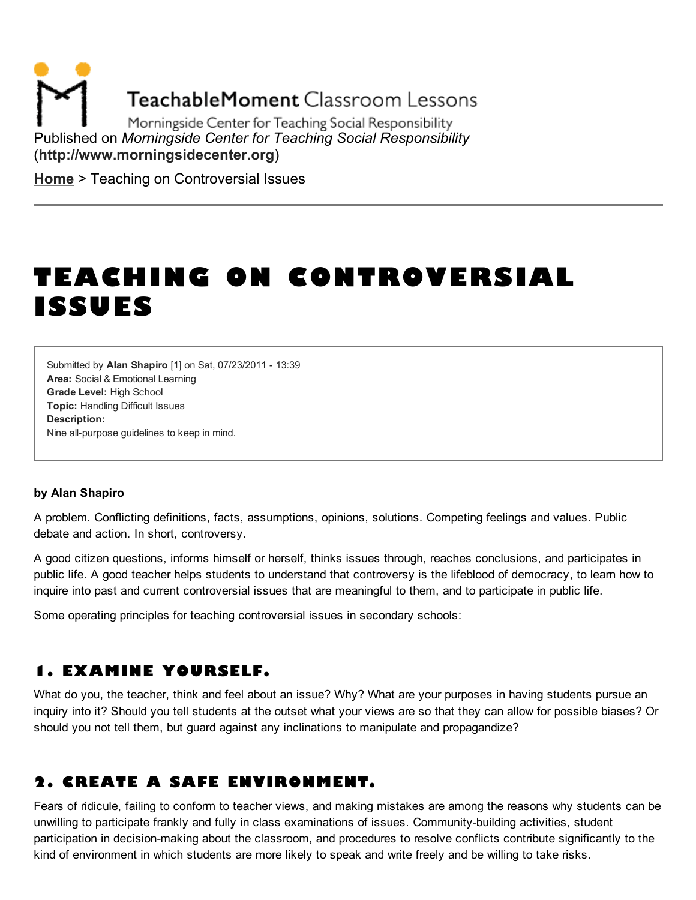**TeachableMoment Classroom Lessons** 

Morningside Center for Teaching Social Responsibility Published on *Morningside Center for Teaching Social Responsibility* [\(http://www.morningsidecenter.org\)](http://www.morningsidecenter.org/)

**[Home](http://www.morningsidecenter.org/)** > Teaching on Controversial Issues

# TEACHING ON CONTROVERSIAL ISSUES

Area: Social & Emotional Learning Grade Level: High School Topic: Handling Difficult Issues Submitted by Alan [Shapiro](http://www.morningsidecenter.org/users/alan-shapiro) [1] on Sat, 07/23/2011 - 13:39 Description: Nine all-purpose guidelines to keep in mind.

#### by Alan Shapiro

A problem. Conflicting definitions, facts, assumptions, opinions, solutions. Competing feelings and values. Public debate and action. In short, controversy.

A good citizen questions, informs himself or herself, thinks issues through, reaches conclusions, and participates in public life. A good teacher helps students to understand that controversy is the lifeblood of democracy, to learn how to inquire into past and current controversial issues that are meaningful to them, and to participate in public life.

Some operating principles for teaching controversial issues in secondary schools:

## 1. EXAMINE YOURSELF.

What do you, the teacher, think and feel about an issue? Why? What are your purposes in having students pursue an inquiry into it? Should you tell students at the outset what your views are so that they can allow for possible biases? Or should you not tell them, but guard against any inclinations to manipulate and propagandize?

# 2. CREATE A SAFE ENVIRONMENT.

Fears of ridicule, failing to conform to teacher views, and making mistakes are among the reasons why students can be unwilling to participate frankly and fully in class examinations of issues. Community-building activities, student participation in decision-making about the classroom, and procedures to resolve conflicts contribute significantly to the kind of environment in which students are more likely to speak and write freely and be willing to take risks.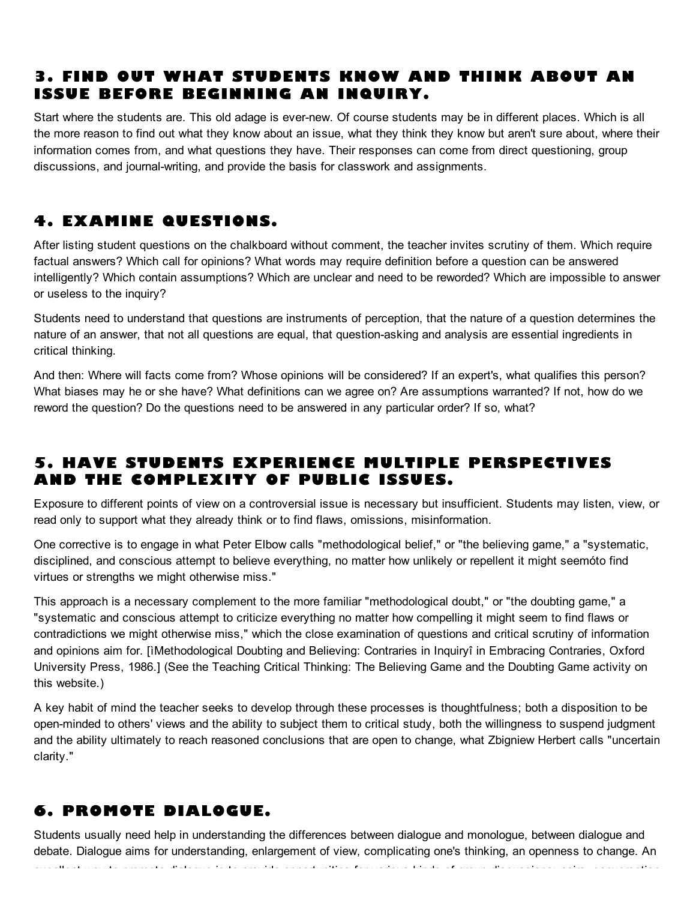# 3. FIND OUT WHAT STUDENTS KNOW AND THINK ABOUT AN ISSUE BEFORE BEGINNING AN INQUIRY.

Start where the students are. This old adage is ever-new. Of course students may be in different places. Which is all the more reason to find out what they know about an issue, what they think they know but aren't sure about, where their information comes from, and what questions they have. Their responses can come from direct questioning, group discussions, and journal-writing, and provide the basis for classwork and assignments.

# 4. EXAMINE QUESTIONS.

After listing student questions on the chalkboard without comment, the teacher invites scrutiny of them. Which require factual answers? Which call for opinions? What words may require definition before a question can be answered intelligently? Which contain assumptions? Which are unclear and need to be reworded? Which are impossible to answer or useless to the inquiry?

Students need to understand that questions are instruments of perception, that the nature of a question determines the nature of an answer, that not all questions are equal, that question-asking and analysis are essential ingredients in critical thinking.

And then: Where will facts come from? Whose opinions will be considered? If an expert's, what qualifies this person? What biases may he or she have? What definitions can we agree on? Are assumptions warranted? If not, how do we reword the question? Do the questions need to be answered in any particular order? If so, what?

# 5. HAVE STUDENTS EXPERIENCE MULTIPLE PERSPECTIVES AND THE COMPLEXITY OF PUBLIC ISSUES.

Exposure to different points of view on a controversial issue is necessary but insufficient. Students may listen, view, or read only to support what they already think or to find flaws, omissions, misinformation.

One corrective is to engage in what Peter Elbow calls "methodological belief," or "the believing game," a "systematic, disciplined, and conscious attempt to believe everything, no matter how unlikely or repellent it might seemóto find virtues or strengths we might otherwise miss."

This approach is a necessary complement to the more familiar "methodological doubt," or "the doubting game," a "systematic and conscious attempt to criticize everything no matter how compelling it might seem to find flaws or contradictions we might otherwise miss," which the close examination of questions and critical scrutiny of information and opinions aim for. [ìMethodological Doubting and Believing: Contraries in Inquiryî in Embracing Contraries, Oxford University Press, 1986.] (See the Teaching Critical Thinking: The Believing Game and the Doubting Game activity on this website.)

A key habit of mind the teacher seeks to develop through these processes is thoughtfulness; both a disposition to be open-minded to others' views and the ability to subject them to critical study, both the willingness to suspend judgment and the ability ultimately to reach reasoned conclusions that are open to change, what Zbigniew Herbert calls "uncertain clarity."

# 6. PROMOTE DIALOGUE.

Students usually need help in understanding the differences between dialogue and monologue, between dialogue and debate. Dialogue aims for understanding, enlargement of view, complicating one's thinking, an openness to change. An excellent way to promote dialogue is to provide opportunities for various kinds of group discussions: pairs, conversation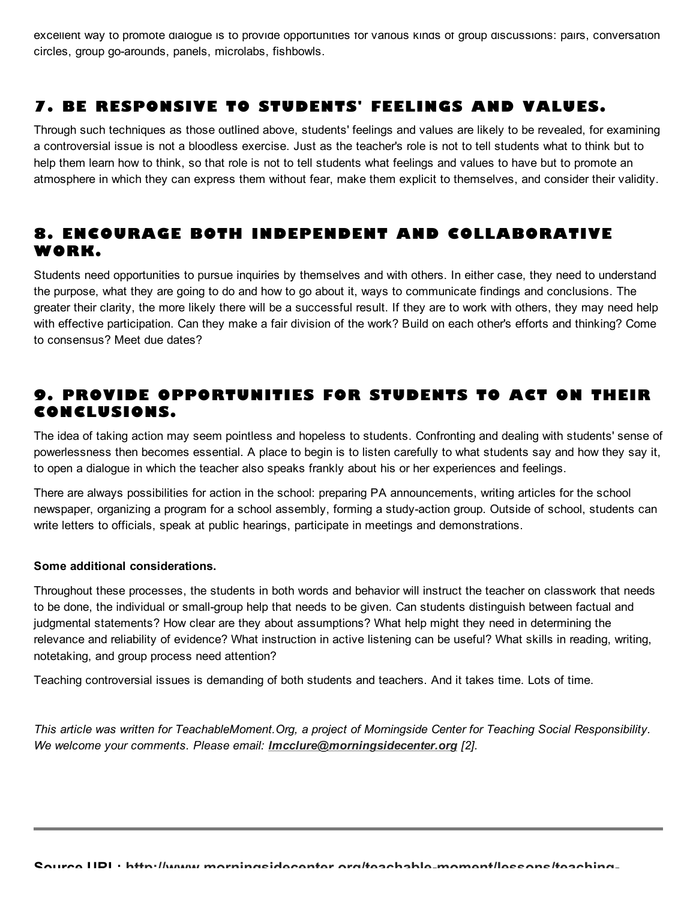excellent way to promote dialogue is to provide opportunities for various kinds of group discussions: pairs, conversation circles, group go-arounds, panels, microlabs, fishbowls.

# 7. BE RESPONSIVE TO STUDENTS' FEELINGS AND VALUES.

Through such techniques as those outlined above, students' feelings and values are likely to be revealed, for examining a controversial issue is not a bloodless exercise. Just as the teacher's role is not to tell students what to think but to help them learn how to think, so that role is not to tell students what feelings and values to have but to promote an atmosphere in which they can express them without fear, make them explicit to themselves, and consider their validity.

### 8. ENCOURAGE BOTH INDEPENDENT AND COLLABORATIVE WORK.

Students need opportunities to pursue inquiries by themselves and with others. In either case, they need to understand the purpose, what they are going to do and how to go about it, ways to communicate findings and conclusions. The greater their clarity, the more likely there will be a successful result. If they are to work with others, they may need help with effective participation. Can they make a fair division of the work? Build on each other's efforts and thinking? Come to consensus? Meet due dates?

# 9. PROVIDE OPPORTUNITIES FOR STUDENTS TO ACT ON THEIR CONCLUSIONS.

The idea of taking action may seem pointless and hopeless to students. Confronting and dealing with students' sense of powerlessness then becomes essential. A place to begin is to listen carefully to what students say and how they say it, to open a dialogue in which the teacher also speaks frankly about his or her experiences and feelings.

There are always possibilities for action in the school: preparing PA announcements, writing articles for the school newspaper, organizing a program for a school assembly, forming a study-action group. Outside of school, students can write letters to officials, speak at public hearings, participate in meetings and demonstrations.

#### Some additional considerations.

Throughout these processes, the students in both words and behavior will instruct the teacher on classwork that needs to be done, the individual or small-group help that needs to be given. Can students distinguish between factual and judgmental statements? How clear are they about assumptions? What help might they need in determining the relevance and reliability of evidence? What instruction in active listening can be useful? What skills in reading, writing, notetaking, and group process need attention?

Teaching controversial issues is demanding of both students and teachers. And it takes time. Lots of time.

*This article was written for TeachableMoment.Org, a project of Morningside Center for Teaching Social Responsibility. We welcome your comments. Please email: [lmcclure@morningsidecenter.org](mailto:lmcclure@morningsidecenter.org) [2].*